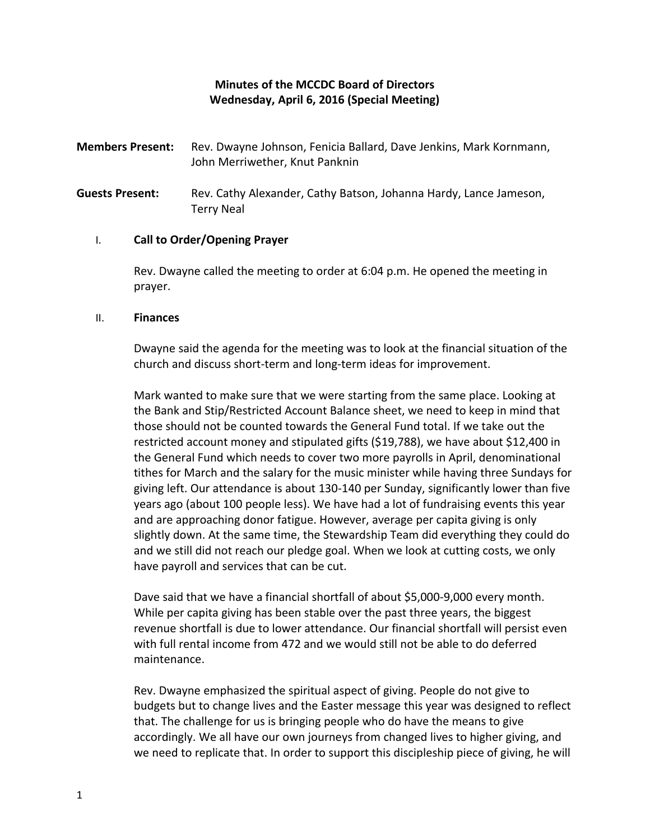## **Minutes of the MCCDC Board of Directors Wednesday, April 6, 2016 (Special Meeting)**

- **Members Present:** Rev. Dwayne Johnson, Fenicia Ballard, Dave Jenkins, Mark Kornmann, John Merriwether, Knut Panknin
- **Guests Present:** Rev. Cathy Alexander, Cathy Batson, Johanna Hardy, Lance Jameson, Terry Neal

## I. **Call to Order/Opening Prayer**

Rev. Dwayne called the meeting to order at 6:04 p.m. He opened the meeting in prayer.

## II. **Finances**

Dwayne said the agenda for the meeting was to look at the financial situation of the church and discuss short-term and long-term ideas for improvement.

Mark wanted to make sure that we were starting from the same place. Looking at the Bank and Stip/Restricted Account Balance sheet, we need to keep in mind that those should not be counted towards the General Fund total. If we take out the restricted account money and stipulated gifts (\$19,788), we have about \$12,400 in the General Fund which needs to cover two more payrolls in April, denominational tithes for March and the salary for the music minister while having three Sundays for giving left. Our attendance is about 130-140 per Sunday, significantly lower than five years ago (about 100 people less). We have had a lot of fundraising events this year and are approaching donor fatigue. However, average per capita giving is only slightly down. At the same time, the Stewardship Team did everything they could do and we still did not reach our pledge goal. When we look at cutting costs, we only have payroll and services that can be cut.

Dave said that we have a financial shortfall of about \$5,000-9,000 every month. While per capita giving has been stable over the past three years, the biggest revenue shortfall is due to lower attendance. Our financial shortfall will persist even with full rental income from 472 and we would still not be able to do deferred maintenance.

Rev. Dwayne emphasized the spiritual aspect of giving. People do not give to budgets but to change lives and the Easter message this year was designed to reflect that. The challenge for us is bringing people who do have the means to give accordingly. We all have our own journeys from changed lives to higher giving, and we need to replicate that. In order to support this discipleship piece of giving, he will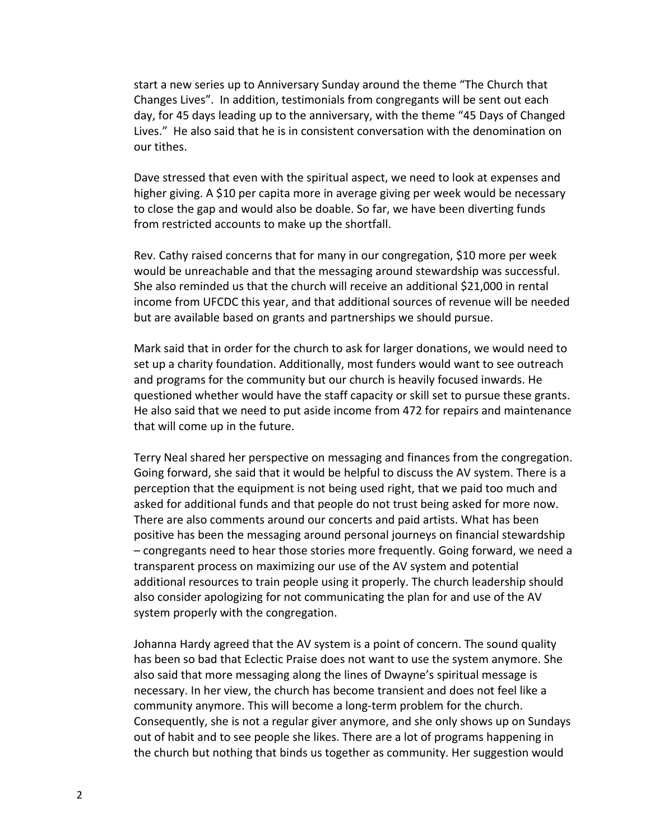start a new series up to Anniversary Sunday around the theme "The Church that Changes Lives". In addition, testimonials from congregants will be sent out each day, for 45 days leading up to the anniversary, with the theme "45 Days of Changed Lives." He also said that he is in consistent conversation with the denomination on our tithes.

Dave stressed that even with the spiritual aspect, we need to look at expenses and higher giving. A \$10 per capita more in average giving per week would be necessary to close the gap and would also be doable. So far, we have been diverting funds from restricted accounts to make up the shortfall.

Rev. Cathy raised concerns that for many in our congregation, \$10 more per week would be unreachable and that the messaging around stewardship was successful. She also reminded us that the church will receive an additional \$21,000 in rental income from UFCDC this year, and that additional sources of revenue will be needed but are available based on grants and partnerships we should pursue.

Mark said that in order for the church to ask for larger donations, we would need to set up a charity foundation. Additionally, most funders would want to see outreach and programs for the community but our church is heavily focused inwards. He questioned whether would have the staff capacity or skill set to pursue these grants. He also said that we need to put aside income from 472 for repairs and maintenance that will come up in the future.

Terry Neal shared her perspective on messaging and finances from the congregation. Going forward, she said that it would be helpful to discuss the AV system. There is a perception that the equipment is not being used right, that we paid too much and asked for additional funds and that people do not trust being asked for more now. There are also comments around our concerts and paid artists. What has been positive has been the messaging around personal journeys on financial stewardship – congregants need to hear those stories more frequently. Going forward, we need a transparent process on maximizing our use of the AV system and potential additional resources to train people using it properly. The church leadership should also consider apologizing for not communicating the plan for and use of the AV system properly with the congregation.

Johanna Hardy agreed that the AV system is a point of concern. The sound quality has been so bad that Eclectic Praise does not want to use the system anymore. She also said that more messaging along the lines of Dwayne's spiritual message is necessary. In her view, the church has become transient and does not feel like a community anymore. This will become a long-term problem for the church. Consequently, she is not a regular giver anymore, and she only shows up on Sundays out of habit and to see people she likes. There are a lot of programs happening in the church but nothing that binds us together as community. Her suggestion would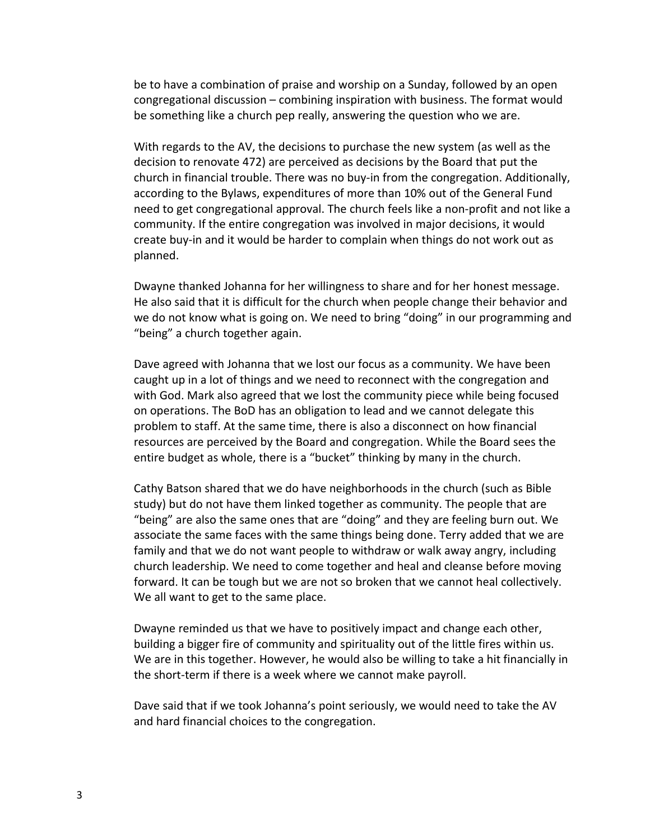be to have a combination of praise and worship on a Sunday, followed by an open congregational discussion – combining inspiration with business. The format would be something like a church pep really, answering the question who we are.

With regards to the AV, the decisions to purchase the new system (as well as the decision to renovate 472) are perceived as decisions by the Board that put the church in financial trouble. There was no buy-in from the congregation. Additionally, according to the Bylaws, expenditures of more than 10% out of the General Fund need to get congregational approval. The church feels like a non-profit and not like a community. If the entire congregation was involved in major decisions, it would create buy-in and it would be harder to complain when things do not work out as planned.

Dwayne thanked Johanna for her willingness to share and for her honest message. He also said that it is difficult for the church when people change their behavior and we do not know what is going on. We need to bring "doing" in our programming and "being" a church together again.

Dave agreed with Johanna that we lost our focus as a community. We have been caught up in a lot of things and we need to reconnect with the congregation and with God. Mark also agreed that we lost the community piece while being focused on operations. The BoD has an obligation to lead and we cannot delegate this problem to staff. At the same time, there is also a disconnect on how financial resources are perceived by the Board and congregation. While the Board sees the entire budget as whole, there is a "bucket" thinking by many in the church.

Cathy Batson shared that we do have neighborhoods in the church (such as Bible study) but do not have them linked together as community. The people that are "being" are also the same ones that are "doing" and they are feeling burn out. We associate the same faces with the same things being done. Terry added that we are family and that we do not want people to withdraw or walk away angry, including church leadership. We need to come together and heal and cleanse before moving forward. It can be tough but we are not so broken that we cannot heal collectively. We all want to get to the same place.

Dwayne reminded us that we have to positively impact and change each other, building a bigger fire of community and spirituality out of the little fires within us. We are in this together. However, he would also be willing to take a hit financially in the short-term if there is a week where we cannot make payroll.

Dave said that if we took Johanna's point seriously, we would need to take the AV and hard financial choices to the congregation.